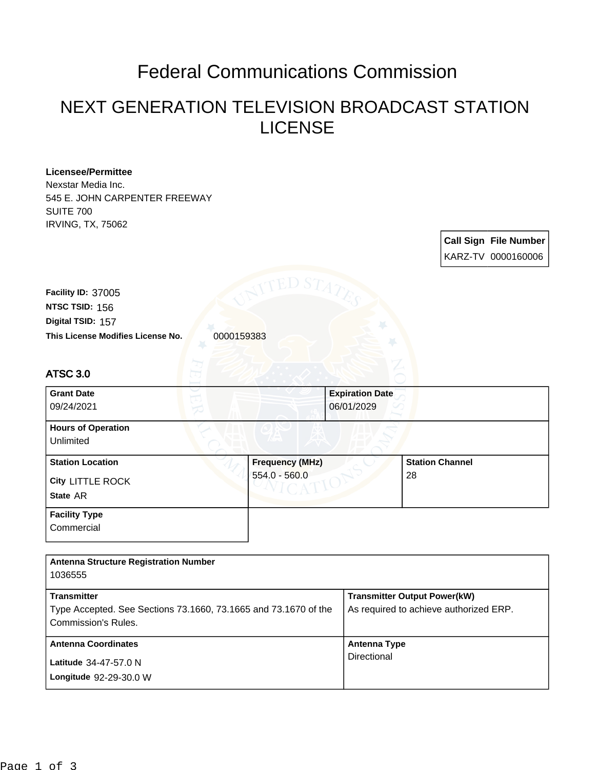## Federal Communications Commission

## NEXT GENERATION TELEVISION BROADCAST STATION LICENSE

| <b>Licensee/Permittee</b><br>Nexstar Media Inc.<br>545 E. JOHN CARPENTER FREEWAY<br><b>SUITE 700</b><br><b>IRVING, TX, 75062</b> |                        |                                      |                                        |                              |  |
|----------------------------------------------------------------------------------------------------------------------------------|------------------------|--------------------------------------|----------------------------------------|------------------------------|--|
|                                                                                                                                  |                        |                                      |                                        | <b>Call Sign File Number</b> |  |
|                                                                                                                                  |                        |                                      |                                        | KARZ-TV 0000160006           |  |
| Facility ID: 37005<br>NTSC TSID: 156<br>Digital TSID: 157<br>This License Modifies License No.<br>0000159383                     | ED S7                  |                                      |                                        |                              |  |
| <b>ATSC 3.0</b>                                                                                                                  |                        |                                      |                                        |                              |  |
| <b>Grant Date</b><br>09/24/2021                                                                                                  |                        | <b>Expiration Date</b><br>06/01/2029 |                                        |                              |  |
| <b>Hours of Operation</b><br>Unlimited                                                                                           |                        |                                      |                                        |                              |  |
| <b>Station Location</b>                                                                                                          | <b>Frequency (MHz)</b> |                                      | <b>Station Channel</b>                 |                              |  |
| City LITTLE ROCK                                                                                                                 | 554.0 - 560.0          |                                      | 28                                     |                              |  |
| State AR                                                                                                                         |                        |                                      |                                        |                              |  |
| <b>Facility Type</b><br>Commercial                                                                                               |                        |                                      |                                        |                              |  |
| <b>Antenna Structure Registration Number</b><br>1036555                                                                          |                        |                                      |                                        |                              |  |
| <b>Transmitter</b>                                                                                                               |                        |                                      | <b>Transmitter Output Power(kW)</b>    |                              |  |
| Type Accepted. See Sections 73.1660, 73.1665 and 73.1670 of the<br>Commission's Rules.                                           |                        |                                      | As required to achieve authorized ERP. |                              |  |
| <b>Antenna Coordinates</b>                                                                                                       |                        | <b>Antenna Type</b>                  |                                        |                              |  |
| Latitude 34-47-57.0 N                                                                                                            |                        | Directional                          |                                        |                              |  |
| Longitude 92-29-30.0 W                                                                                                           |                        |                                      |                                        |                              |  |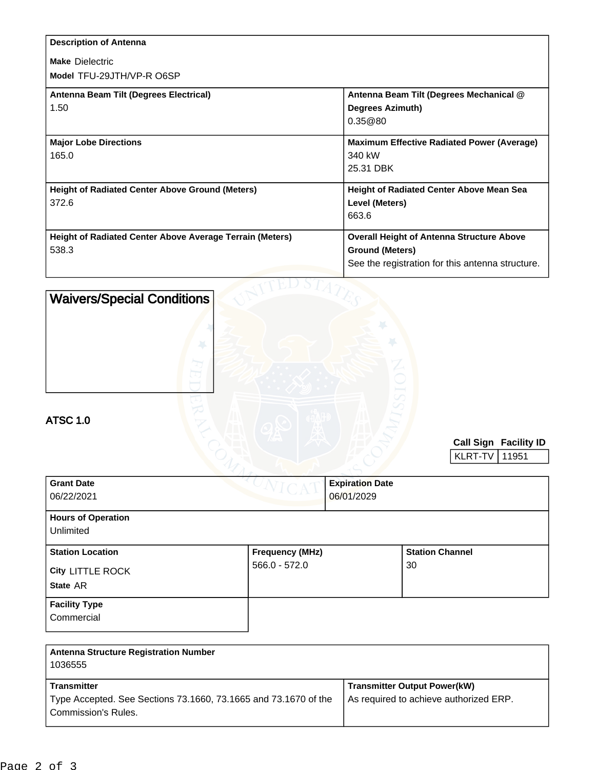| <b>Description of Antenna</b>                                   |                                                   |
|-----------------------------------------------------------------|---------------------------------------------------|
| <b>Make Dielectric</b>                                          |                                                   |
| Model TFU-29JTH/VP-R O6SP                                       |                                                   |
| Antenna Beam Tilt (Degrees Electrical)                          | Antenna Beam Tilt (Degrees Mechanical @           |
| 1.50                                                            | <b>Degrees Azimuth)</b>                           |
|                                                                 | 0.35@80                                           |
| <b>Major Lobe Directions</b>                                    | <b>Maximum Effective Radiated Power (Average)</b> |
| 165.0                                                           | 340 kW                                            |
|                                                                 | 25.31 DBK                                         |
| <b>Height of Radiated Center Above Ground (Meters)</b>          | Height of Radiated Center Above Mean Sea          |
| 372.6                                                           | Level (Meters)                                    |
|                                                                 | 663.6                                             |
| <b>Height of Radiated Center Above Average Terrain (Meters)</b> | <b>Overall Height of Antenna Structure Above</b>  |
| 538.3                                                           | <b>Ground (Meters)</b>                            |
|                                                                 | See the registration for this antenna structure.  |
|                                                                 |                                                   |

| <b>Waivers/Special Conditions</b>            |                        |                                      |                        |         |                                |
|----------------------------------------------|------------------------|--------------------------------------|------------------------|---------|--------------------------------|
| <b>ATSC 1.0</b>                              |                        |                                      |                        | KLRT-TV | Call Sign Facility ID<br>11951 |
| <b>Grant Date</b><br>06/22/2021              |                        | <b>Expiration Date</b><br>06/01/2029 |                        |         |                                |
| <b>Hours of Operation</b><br>Unlimited       |                        |                                      |                        |         |                                |
| <b>Station Location</b>                      | <b>Frequency (MHz)</b> |                                      | <b>Station Channel</b> |         |                                |
| City LITTLE ROCK                             | 566.0 - 572.0          |                                      | 30                     |         |                                |
| State AR                                     |                        |                                      |                        |         |                                |
| <b>Facility Type</b><br>Commercial           |                        |                                      |                        |         |                                |
| <b>Antenna Structure Registration Number</b> |                        |                                      |                        |         |                                |

| Antenna Structure Registration Number<br>1036555                                      |                                                                               |
|---------------------------------------------------------------------------------------|-------------------------------------------------------------------------------|
| <b>Transmitter</b><br>Type Accepted. See Sections 73.1660, 73.1665 and 73.1670 of the | <b>Transmitter Output Power(kW)</b><br>As required to achieve authorized ERP. |
| <b>Commission's Rules.</b>                                                            |                                                                               |